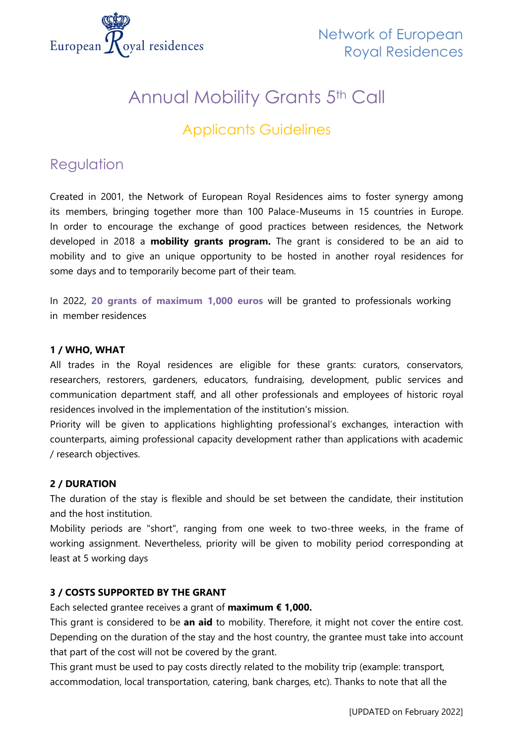

# Annual Mobility Grants 5th Call

Applicants Guidelines

# Regulation

Created in 2001, the Network of European Royal Residences aims to foster synergy among its members, bringing together more than 100 Palace-Museums in 15 countries in Europe. In order to encourage the exchange of good practices between residences, the Network developed in 2018 a **mobility grants program.** The grant is considered to be an aid to mobility and to give an unique opportunity to be hosted in another royal residences for some days and to temporarily become part of their team.

In 2022, **20 grants of maximum 1,000 euros** will be granted to professionals working in member residences

# **1 / WHO, WHAT**

All trades in the Royal residences are eligible for these grants: curators, conservators, researchers, restorers, gardeners, educators, fundraising, development, public services and communication department staff, and all other professionals and employees of historic royal residences involved in the implementation of the institution's mission.

Priority will be given to applications highlighting professional's exchanges, interaction with counterparts, aiming professional capacity development rather than applications with academic / research objectives.

# **2 / DURATION**

The duration of the stay is flexible and should be set between the candidate, their institution and the host institution.

Mobility periods are "short", ranging from one week to two-three weeks, in the frame of working assignment. Nevertheless, priority will be given to mobility period corresponding at least at 5 working days

# **3 / COSTS SUPPORTED BY THE GRANT**

Each selected grantee receives a grant of **maximum € 1,000.**

This grant is considered to be **an aid** to mobility. Therefore, it might not cover the entire cost. Depending on the duration of the stay and the host country, the grantee must take into account that part of the cost will not be covered by the grant.

This grant must be used to pay costs directly related to the mobility trip (example: transport, accommodation, local transportation, catering, bank charges, etc). Thanks to note that all the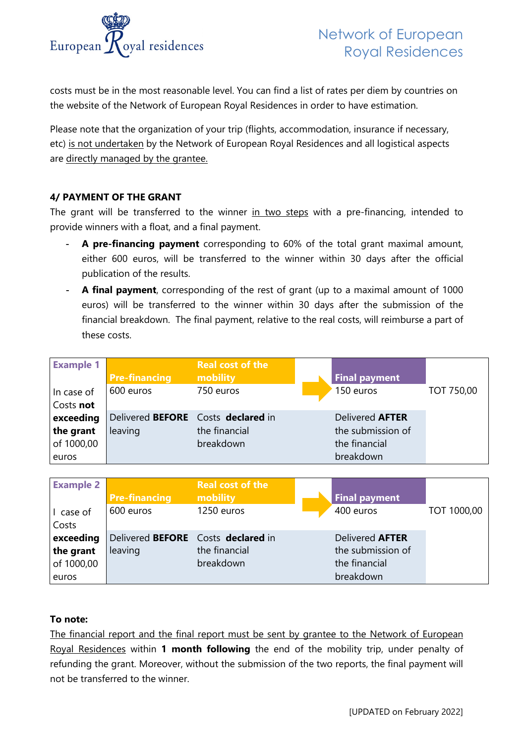

costs must be in the most reasonable level. You can find a list of rates per diem by countries on the website of the Network of European Royal Residences in order to have estimation.

Please note that the organization of your trip (flights, accommodation, insurance if necessary, etc) is not undertaken by the Network of European Royal Residences and all logistical aspects are directly managed by the grantee.

# **4/ PAYMENT OF THE GRANT**

The grant will be transferred to the winner in two steps with a pre-financing, intended to provide winners with a float, and a final payment.

- **A pre-financing payment** corresponding to 60% of the total grant maximal amount, either 600 euros, will be transferred to the winner within 30 days after the official publication of the results.
- **A final payment**, corresponding of the rest of grant (up to a maximal amount of 1000 euros) will be transferred to the winner within 30 days after the submission of the financial breakdown. The final payment, relative to the real costs, will reimburse a part of these costs.

| <b>Example 1</b><br>In case of<br>Costs not   | <b>Pre-financing</b><br>600 euros             | <b>Real cost of the</b><br>mobility<br>750 euros | <b>Final payment</b><br>150 euros                                         | <b>TOT 750,00</b> |
|-----------------------------------------------|-----------------------------------------------|--------------------------------------------------|---------------------------------------------------------------------------|-------------------|
| exceeding<br>the grant<br>of 1000,00<br>euros | Delivered BEFORE Costs declared in<br>leaving | the financial<br>breakdown                       | Delivered <b>AFTER</b><br>the submission of<br>the financial<br>breakdown |                   |

| <b>Example 2</b> |                                    | <b>Real cost of the</b> |                        |             |
|------------------|------------------------------------|-------------------------|------------------------|-------------|
|                  | <b>Pre-financing</b>               | mobility                | <b>Final payment</b>   |             |
| I case of        | 600 euros                          | 1250 euros              | 400 euros              | TOT 1000,00 |
| Costs            |                                    |                         |                        |             |
| exceeding        | Delivered BEFORE Costs declared in |                         | Delivered <b>AFTER</b> |             |
| the grant        | leaving                            | the financial           | the submission of      |             |
| of 1000,00       |                                    | breakdown               | the financial          |             |
| euros            |                                    |                         | breakdown              |             |

# **To note:**

The financial report and the final report must be sent by grantee to the Network of European Royal Residences within **1 month following** the end of the mobility trip, under penalty of refunding the grant. Moreover, without the submission of the two reports, the final payment will not be transferred to the winner.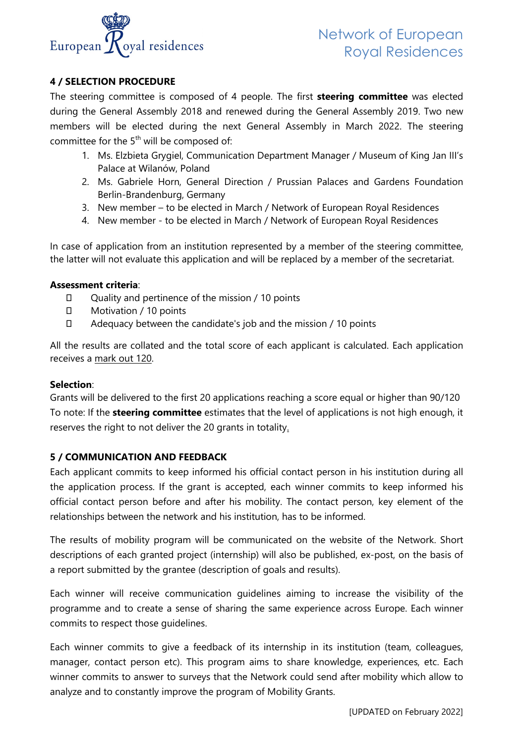

# **4 / SELECTION PROCEDURE**

The steering committee is composed of 4 people. The first **steering committee** was elected during the General Assembly 2018 and renewed during the General Assembly 2019. Two new members will be elected during the next General Assembly in March 2022. The steering committee for the  $5<sup>th</sup>$  will be composed of:

- 1. Ms. Elzbieta Grygiel, Communication Department Manager / Museum of King Jan III's Palace at Wilanów, Poland
- 2. Ms. Gabriele Horn, General Direction / Prussian Palaces and Gardens Foundation Berlin-Brandenburg, Germany
- 3. New member to be elected in March / Network of European Royal Residences
- 4. New member to be elected in March / Network of European Royal Residences

In case of application from an institution represented by a member of the steering committee, the latter will not evaluate this application and will be replaced by a member of the secretariat.

#### **Assessment criteria**:

- Quality and pertinence of the mission / 10 points
- □ Motivation / 10 points
- Adequacy between the candidate's job and the mission / 10 points

All the results are collated and the total score of each applicant is calculated. Each application receives a mark out 120.

#### **Selection**:

Grants will be delivered to the first 20 applications reaching a score equal or higher than 90/120 To note: If the **steering committee** estimates that the level of applications is not high enough, it reserves the right to not deliver the 20 grants in totality.

# **5 / COMMUNICATION AND FEEDBACK**

Each applicant commits to keep informed his official contact person in his institution during all the application process. If the grant is accepted, each winner commits to keep informed his official contact person before and after his mobility. The contact person, key element of the relationships between the network and his institution, has to be informed.

The results of mobility program will be communicated on the website of the Network. Short descriptions of each granted project (internship) will also be published, ex-post, on the basis of a report submitted by the grantee (description of goals and results).

Each winner will receive communication guidelines aiming to increase the visibility of the programme and to create a sense of sharing the same experience across Europe. Each winner commits to respect those guidelines.

Each winner commits to give a feedback of its internship in its institution (team, colleagues, manager, contact person etc). This program aims to share knowledge, experiences, etc. Each winner commits to answer to surveys that the Network could send after mobility which allow to analyze and to constantly improve the program of Mobility Grants.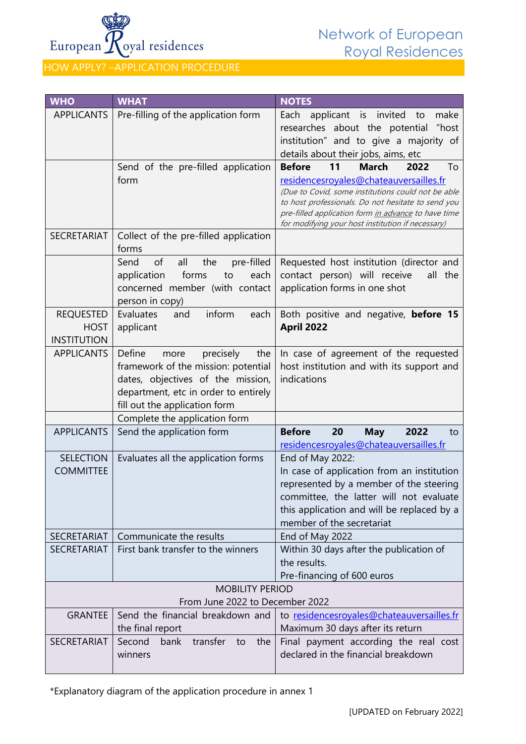

HOW APPLY? –APPLICATION PROCEDURE

| <b>WHO</b>         | <b>WHAT</b>                                                              | <b>NOTES</b>                                                                                 |  |  |
|--------------------|--------------------------------------------------------------------------|----------------------------------------------------------------------------------------------|--|--|
| <b>APPLICANTS</b>  | Pre-filling of the application form                                      | Each<br>applicant is invited<br>make<br>to                                                   |  |  |
|                    |                                                                          | researches about the potential "host                                                         |  |  |
|                    |                                                                          | institution" and to give a majority of                                                       |  |  |
|                    |                                                                          | details about their jobs, aims, etc                                                          |  |  |
|                    | Send of the pre-filled application                                       | 11<br><b>March</b><br><b>Before</b><br>2022<br>To                                            |  |  |
|                    | form                                                                     | residencesroyales@chateauversailles.fr<br>(Due to Covid, some institutions could not be able |  |  |
|                    |                                                                          | to host professionals. Do not hesitate to send you                                           |  |  |
|                    |                                                                          | pre-filled application form in advance to have time                                          |  |  |
| <b>SECRETARIAT</b> | Collect of the pre-filled application                                    | for modifying your host institution if necessary)                                            |  |  |
|                    | forms                                                                    |                                                                                              |  |  |
|                    | of<br>all<br>the<br>pre-filled<br>Send                                   | Requested host institution (director and                                                     |  |  |
|                    | forms<br>application<br>each<br>to                                       | contact person) will receive<br>all the                                                      |  |  |
|                    | concerned member (with contact                                           | application forms in one shot                                                                |  |  |
|                    | person in copy)                                                          |                                                                                              |  |  |
| <b>REQUESTED</b>   | inform<br>Evaluates<br>and<br>each                                       | Both positive and negative, before 15                                                        |  |  |
| <b>HOST</b>        | applicant                                                                | <b>April 2022</b>                                                                            |  |  |
| <b>INSTITUTION</b> |                                                                          |                                                                                              |  |  |
| <b>APPLICANTS</b>  | Define<br>precisely<br>more<br>the                                       | In case of agreement of the requested                                                        |  |  |
|                    | framework of the mission: potential<br>dates, objectives of the mission, | host institution and with its support and<br>indications                                     |  |  |
|                    | department, etc in order to entirely                                     |                                                                                              |  |  |
|                    | fill out the application form                                            |                                                                                              |  |  |
|                    | Complete the application form                                            |                                                                                              |  |  |
| <b>APPLICANTS</b>  | Send the application form                                                | <b>Before</b><br>20<br><b>May</b><br>2022<br>to                                              |  |  |
|                    |                                                                          | residencesroyales@chateauversailles.fr                                                       |  |  |
| <b>SELECTION</b>   | Evaluates all the application forms                                      | End of May 2022:                                                                             |  |  |
| <b>COMMITTEE</b>   |                                                                          | In case of application from an institution                                                   |  |  |
|                    |                                                                          | represented by a member of the steering                                                      |  |  |
|                    |                                                                          | committee, the latter will not evaluate<br>this application and will be replaced by a        |  |  |
|                    |                                                                          | member of the secretariat                                                                    |  |  |
| <b>SECRETARIAT</b> | Communicate the results                                                  | End of May 2022                                                                              |  |  |
| <b>SECRETARIAT</b> | First bank transfer to the winners                                       | Within 30 days after the publication of                                                      |  |  |
|                    |                                                                          | the results.                                                                                 |  |  |
|                    |                                                                          | Pre-financing of 600 euros                                                                   |  |  |
|                    | <b>MOBILITY PERIOD</b>                                                   |                                                                                              |  |  |
|                    | From June 2022 to December 2022                                          |                                                                                              |  |  |
| <b>GRANTEE</b>     | Send the financial breakdown and                                         | to residencesroyales@chateauversailles.fr                                                    |  |  |
| <b>SECRETARIAT</b> | the final report<br>Second<br>transfer                                   | Maximum 30 days after its return                                                             |  |  |
|                    | bank<br>to<br>the<br>winners                                             | Final payment according the real cost<br>declared in the financial breakdown                 |  |  |
|                    |                                                                          |                                                                                              |  |  |

\*Explanatory diagram of the application procedure in annex 1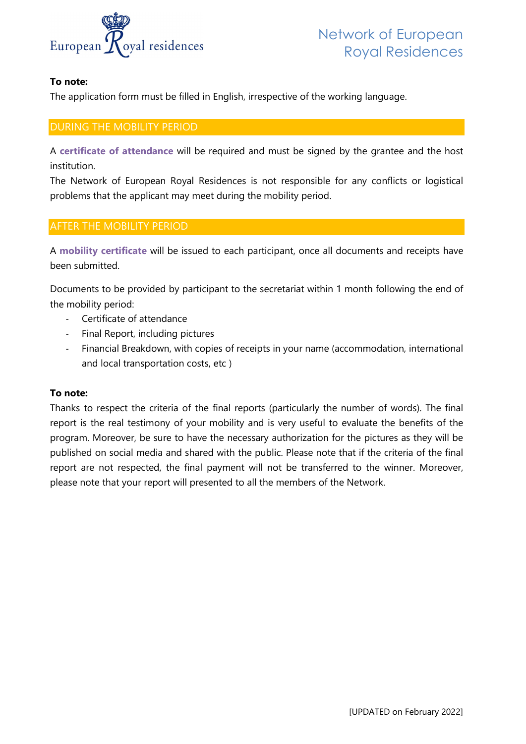

# **To note:**

The application form must be filled in English, [irrespective o](https://www.microsofttranslator.com/bv.aspx?from=fr&to=en&a=https%3A%2F%2Fwww.linguee.fr%2Fanglais-francais%2Ftraduction%2Findependently.html)f the working language.

# DURING THE MOBILITY PERIOD

A **certificate of attendance** will be required and must be signed by the grantee and the host institution.

The Network of European Royal Residences is not responsible for any conflicts or logistical problems that the applicant may meet during the mobility period.

# AFTER THE MOBILITY PERIOD

A **mobility certificate** will be issued to each participant, once all documents and receipts have been submitted.

Documents to be provided by participant to the secretariat within 1 month following the end of the mobility period:

- Certificate of attendance
- Final Report, including pictures
- Financial Breakdown, with copies of receipts in your name (accommodation, international and local transportation costs, etc )

# **To note:**

Thanks to respect the criteria of the final reports (particularly the number of words). The final report is the real testimony of your mobility and is very useful to evaluate the benefits of the program. Moreover, be sure to have the necessary authorization for the pictures as they will be published on social media and shared with the public. Please note that if the criteria of the final report are not respected, the final payment will not be transferred to the winner. Moreover, please note that your report will presented to all the members of the Network.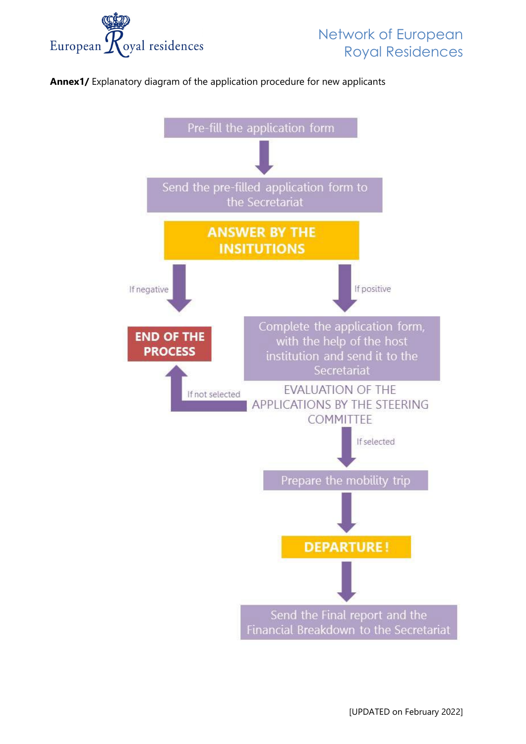

**Annex1/** Explanatory diagram of the application procedure for new applicants